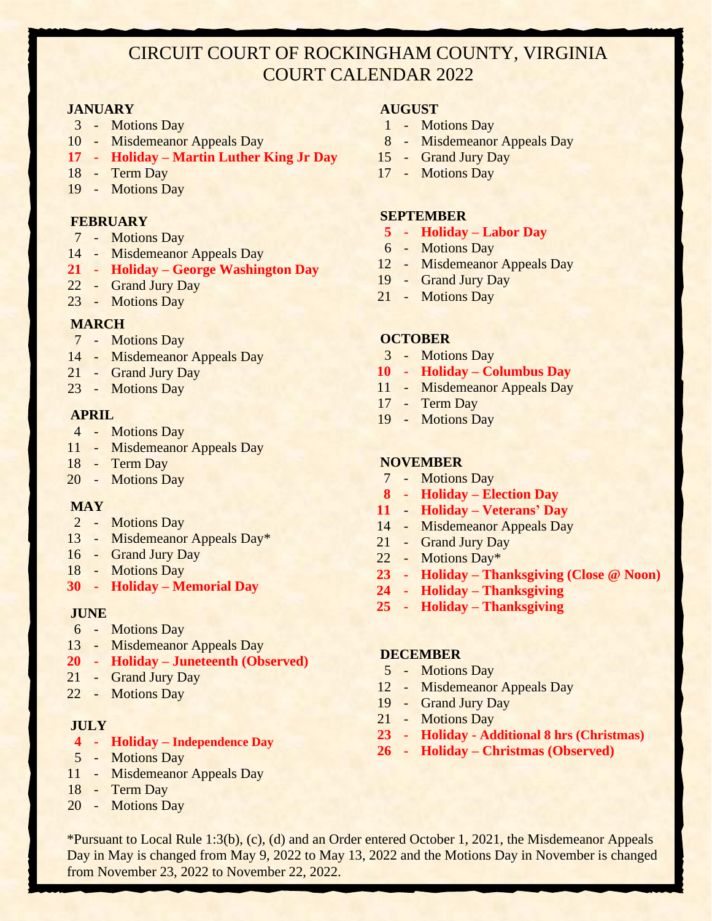## CIRCUIT COURT OF ROCKINGHAM COUNTY, VIRGINIA COURT CALENDAR 2022

## **JANUARY**

- Motions Day
- Misdemeanor Appeals Day
- **- Holiday – Martin Luther King Jr Day** 15 Grand Jury Day
- Term Day
- Motions Day

#### **FEBRUARY**

- Motions Day
- Misdemeanor Appeals Day
- **- Holiday – George Washington Day**
- Grand Jury Day
- Motions Day

#### **MARCH**

- Motions Day
- Misdemeanor Appeals Day
- Grand Jury Day
- Motions Day

#### **APRIL**

- Motions Day
- Misdemeanor Appeals Day
- Term Day
- Motions Day

### **MAY**

- Motions Day
- Misdemeanor Appeals Day\*
- Grand Jury Day
- Motions Day
- **- Holiday – Memorial Day**

#### **JUNE**

- Motions Day
- Misdemeanor Appeals Day
- **- Holiday – Juneteenth (Observed)**
- Grand Jury Day
- Motions Day

#### **JULY**

- **- Holiday – Independence Day**
- Motions Day
- Misdemeanor Appeals Day
- Term Day
- Motions Day

#### **AUGUST**

- Motions Day
- Misdemeanor Appeals Day
- 
- Motions Day

#### **SEPTEMBER**

- **- Holiday – Labor Day**
- Motions Day
- Misdemeanor Appeals Day
- Grand Jury Day
- Motions Day

#### **OCTOBER**

- Motions Day
- **- Holiday – Columbus Day**
- Misdemeanor Appeals Day
- Term Day
- Motions Day

#### **NOVEMBER**

- Motions Day
- **- Holiday – Election Day**
- **Holiday – Veterans' Day**
- Misdemeanor Appeals Day
- Grand Jury Day
- Motions Day\*
- **- Holiday – Thanksgiving (Close @ Noon)**
- **- Holiday – Thanksgiving**
- **- Holiday – Thanksgiving**

#### **DECEMBER**

- Motions Day
- Misdemeanor Appeals Day
- Grand Jury Day
- 21 Motions Day
- **- Holiday - Additional 8 hrs (Christmas)**
- **- Holiday – Christmas (Observed)**

\*Pursuant to Local Rule 1:3(b), (c), (d) and an Order entered October 1, 2021, the Misdemeanor Appeals Day in May is changed from May 9, 2022 to May 13, 2022 and the Motions Day in November is changed from November 23, 2022 to November 22, 2022.